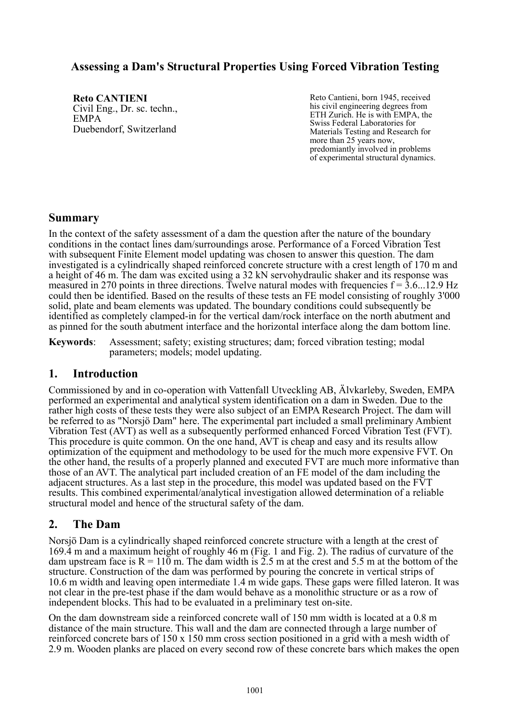## **Assessing a Dam's Structural Properties Using Forced Vibration Testing**

**Reto CANTIENI**  Civil Eng., Dr. sc. techn., EMPA Duebendorf, Switzerland

Reto Cantieni, born 1945, received his civil engineering degrees from ETH Zurich. He is with EMPA, the Swiss Federal Laboratories for Materials Testing and Research for more than 25 years now, predomiantly involved in problems of experimental structural dynamics.

## **Summary**

In the context of the safety assessment of a dam the question after the nature of the boundary conditions in the contact lines dam/surroundings arose. Performance of a Forced Vibration Test with subsequent Finite Element model updating was chosen to answer this question. The dam investigated is a cylindrically shaped reinforced concrete structure with a crest length of 170 m and a height of 46 m. The dam was excited using a 32 kN servohydraulic shaker and its response was measured in 270 points in three directions. Twelve natural modes with frequencies  $f = 3.6...12.9$  Hz could then be identified. Based on the results of these tests an FE model consisting of roughly 3'000 solid, plate and beam elements was updated. The boundary conditions could subsequently be identified as completely clamped-in for the vertical dam/rock interface on the north abutment and as pinned for the south abutment interface and the horizontal interface along the dam bottom line.

**Keywords**: Assessment; safety; existing structures; dam; forced vibration testing; modal parameters; models; model updating.

### **1. Introduction**

Commissioned by and in co-operation with Vattenfall Utveckling AB, Älvkarleby, Sweden, EMPA performed an experimental and analytical system identification on a dam in Sweden. Due to the rather high costs of these tests they were also subject of an EMPA Research Project. The dam will be referred to as "Norsjö Dam" here. The experimental part included a small preliminary Ambient Vibration Test (AVT) as well as a subsequently performed enhanced Forced Vibration Test (FVT). This procedure is quite common. On the one hand, AVT is cheap and easy and its results allow optimization of the equipment and methodology to be used for the much more expensive FVT. On the other hand, the results of a properly planned and executed FVT are much more informative than those of an AVT. The analytical part included creation of an FE model of the dam including the adjacent structures. As a last step in the procedure, this model was updated based on the FVT results. This combined experimental/analytical investigation allowed determination of a reliable structural model and hence of the structural safety of the dam.

# **2. The Dam**

Norsjö Dam is a cylindrically shaped reinforced concrete structure with a length at the crest of 169.4 m and a maximum height of roughly 46 m [\(Fig. 1](#page-1-0) and [Fig. 2\)](#page-1-1). The radius of curvature of the dam upstream face is  $R = 110$  m. The dam width is 2.5 m at the crest and 5.5 m at the bottom of the structure. Construction of the dam was performed by pouring the concrete in vertical strips of 10.6 m width and leaving open intermediate 1.4 m wide gaps. These gaps were filled lateron. It was not clear in the pre-test phase if the dam would behave as a monolithic structure or as a row of independent blocks. This had to be evaluated in a preliminary test on-site.

On the dam downstream side a reinforced concrete wall of 150 mm width is located at a 0.8 m distance of the main structure. This wall and the dam are connected through a large number of reinforced concrete bars of 150 x 150 mm cross section positioned in a grid with a mesh width of 2.9 m. Wooden planks are placed on every second row of these concrete bars which makes the open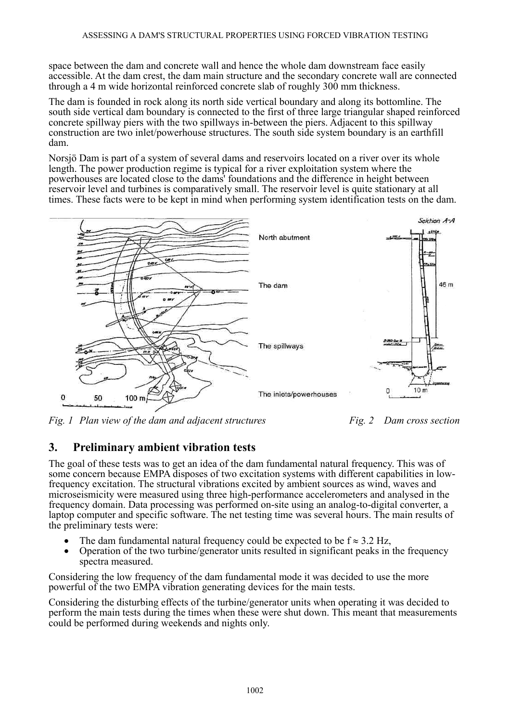space between the dam and concrete wall and hence the whole dam downstream face easily accessible. At the dam crest, the dam main structure and the secondary concrete wall are connected through a 4 m wide horizontal reinforced concrete slab of roughly 300 mm thickness.

The dam is founded in rock along its north side vertical boundary and along its bottomline. The south side vertical dam boundary is connected to the first of three large triangular shaped reinforced concrete spillway piers with the two spillways in-between the piers. Adjacent to this spillway construction are two inlet/powerhouse structures. The south side system boundary is an earthfill dam.

Norsjö Dam is part of a system of several dams and reservoirs located on a river over its whole length. The power production regime is typical for a river exploitation system where the powerhouses are located close to the dams' foundations and the difference in height between reservoir level and turbines is comparatively small. The reservoir level is quite stationary at all times. These facts were to be kept in mind when performing system identification tests on the dam.



<span id="page-1-0"></span>*Fig. 1 Plan view of the dam and adjacent structures* Fig. 2 Dam cross section

<span id="page-1-1"></span>

# **3. Preliminary ambient vibration tests**

The goal of these tests was to get an idea of the dam fundamental natural frequency. This was of some concern because EMPA disposes of two excitation systems with different capabilities in lowfrequency excitation. The structural vibrations excited by ambient sources as wind, waves and microseismicity were measured using three high-performance accelerometers and analysed in the frequency domain. Data processing was performed on-site using an analog-to-digital converter, a laptop computer and specific software. The net testing time was several hours. The main results of the preliminary tests were:

- The dam fundamental natural frequency could be expected to be  $f \approx 3.2 \text{ Hz}$ ,
- Operation of the two turbine/generator units resulted in significant peaks in the frequency spectra measured.

Considering the low frequency of the dam fundamental mode it was decided to use the more powerful of the two EMPA vibration generating devices for the main tests.

Considering the disturbing effects of the turbine/generator units when operating it was decided to perform the main tests during the times when these were shut down. This meant that measurements could be performed during weekends and nights only.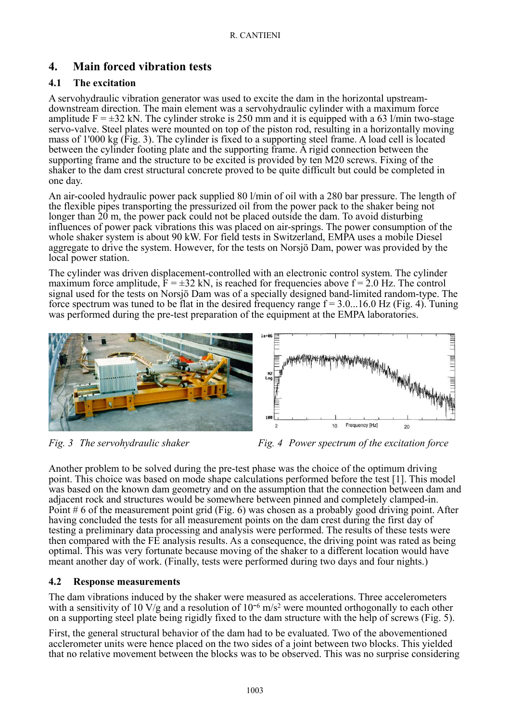## **4. Main forced vibration tests**

### **4.1 The excitation**

A servohydraulic vibration generator was used to excite the dam in the horizontal upstreamdownstream direction. The main element was a servohydraulic cylinder with a maximum force amplitude  $F = \pm 32$  kN. The cylinder stroke is 250 mm and it is equipped with a 63 l/min two-stage servo-valve. Steel plates were mounted on top of the piston rod, resulting in a horizontally moving mass of 1'000 kg (Fig. 3). The cylinder is fixed to a supporting steel frame. A load cell is located between the cylinder footing plate and the supporting frame. A rigid connection between the supporting frame and the structure to be excited is provided by ten M20 screws. Fixing of the shaker to the dam crest structural concrete proved to be quite difficult but could be completed in one day.

An air-cooled hydraulic power pack supplied 80 l/min of oil with a 280 bar pressure. The length of the flexible pipes transporting the pressurized oil from the power pack to the shaker being not longer than 20 m, the power pack could not be placed outside the dam. To avoid disturbing influences of power pack vibrations this was placed on air-springs. The power consumption of the whole shaker system is about 90 kW. For field tests in Switzerland, EMPA uses a mobile Diesel aggregate to drive the system. However, for the tests on Norsjö Dam, power was provided by the local power station.

The cylinder was driven displacement-controlled with an electronic control system. The cylinder maximum force amplitude,  $F = \pm 32$  kN, is reached for frequencies above  $f = 2.0$  Hz. The control signal used for the tests on Norsjö Dam was of a specially designed band-limited random-type. The force spectrum was tuned to be flat in the desired frequency range  $f = 3.0...16.0$  Hz [\(Fig. 4\)](#page-2-0). Tuning was performed during the pre-test preparation of the equipment at the EMPA laboratories.



<span id="page-2-0"></span>*Fig. 3 The servohydraulic shaker* Fig. 4 Power spectrum of the excitation force

Another problem to be solved during the pre-test phase was the choice of the optimum driving point. This choice was based on mode shape calculations performed before the test [1]. This model was based on the known dam geometry and on the assumption that the connection between dam and adjacent rock and structures would be somewhere between pinned and completely clamped-in. Point # 6 of the measurement point grid [\(Fig. 6\)](#page-3-0) was chosen as a probably good driving point. After having concluded the tests for all measurement points on the dam crest during the first day of testing a preliminary data processing and analysis were performed. The results of these tests were then compared with the FE analysis results. As a consequence, the driving point was rated as being optimal. This was very fortunate because moving of the shaker to a different location would have meant another day of work. (Finally, tests were performed during two days and four nights.)

### **4.2 Response measurements**

The dam vibrations induced by the shaker were measured as accelerations. Three accelerometers with a sensitivity of 10 V/g and a resolution of  $10^{-6}$  m/s<sup>2</sup> were mounted orthogonally to each other on a supporting steel plate being rigidly fixed to the dam structure with the help of screws [\(Fig. 5\)](#page-3-1).

First, the general structural behavior of the dam had to be evaluated. Two of the abovementioned acclerometer units were hence placed on the two sides of a joint between two blocks. This yielded that no relative movement between the blocks was to be observed. This was no surprise considering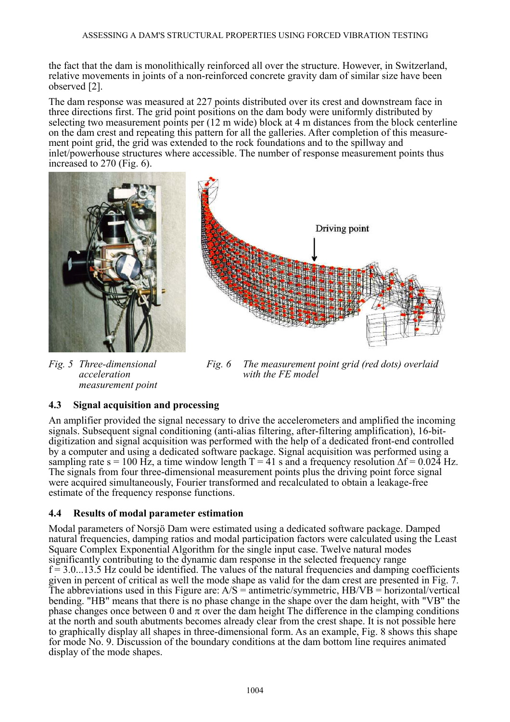the fact that the dam is monolithically reinforced all over the structure. However, in Switzerland, relative movements in joints of a non-reinforced concrete gravity dam of similar size have been observed [2].

The dam response was measured at 227 points distributed over its crest and downstream face in three directions first. The grid point positions on the dam body were uniformly distributed by selecting two measurement points per (12 m wide) block at 4 m distances from the block centerline on the dam crest and repeating this pattern for all the galleries. After completion of this measurement point grid, the grid was extended to the rock foundations and to the spillway and inlet/powerhouse structures where accessible. The number of response measurement points thus increased to 270 [\(Fig. 6\)](#page-3-0).



*Fig. 5 Three-dimensional acceleration measurement point* 

<span id="page-3-0"></span>*Fig. 6 The measurement point grid (red dots) overlaid with the FE model* 

#### <span id="page-3-1"></span>**4.3 Signal acquisition and processing**

An amplifier provided the signal necessary to drive the accelerometers and amplified the incoming signals. Subsequent signal conditioning (anti-alias filtering, after-filtering amplification), 16-bitdigitization and signal acquisition was performed with the help of a dedicated front-end controlled by a computer and using a dedicated software package. Signal acquisition was performed using a sampling rate s = 100 Hz, a time window length T = 41 s and a frequency resolution  $\Delta f = 0.024$  Hz. The signals from four three-dimensional measurement points plus the driving point force signal were acquired simultaneously, Fourier transformed and recalculated to obtain a leakage-free estimate of the frequency response functions.

#### **4.4 Results of modal parameter estimation**

Modal parameters of Norsjö Dam were estimated using a dedicated software package. Damped natural frequencies, damping ratios and modal participation factors were calculated using the Least Square Complex Exponential Algorithm for the single input case. Twelve natural modes significantly contributing to the dynamic dam response in the selected frequency range  $f = 3.0...13.5$  Hz could be identified. The values of the natural frequencies and damping coefficients given in percent of critical as well the mode shape as valid for the dam crest are presented in [Fig. 7.](#page-4-0) The abbreviations used in this Figure are:  $A/S =$  antimetric/symmetric,  $HB/VB =$  horizontal/vertical bending. "HB" means that there is no phase change in the shape over the dam height, with "VB" the phase changes once between 0 and  $\pi$  over the dam height The difference in the clamping conditions at the north and south abutments becomes already clear from the crest shape. It is not possible here to graphically display all shapes in three-dimensional form. As an example, [Fig. 8](#page-4-1) shows this shape for mode No. 9. Discussion of the boundary conditions at the dam bottom line requires animated display of the mode shapes.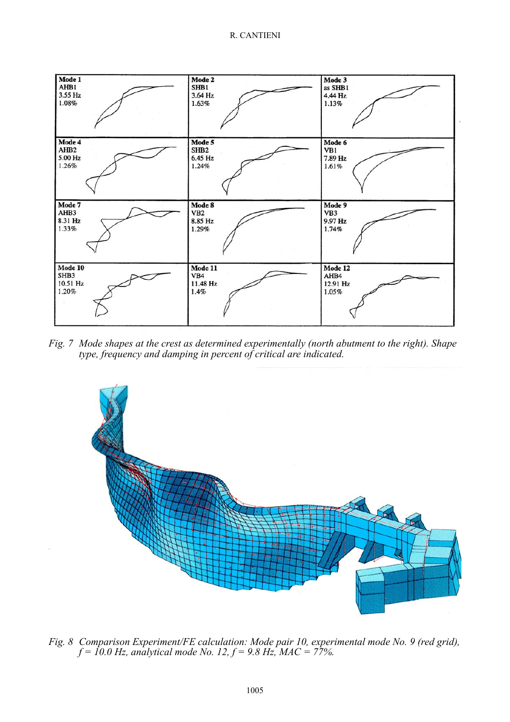

<span id="page-4-0"></span>*Fig. 7 Mode shapes at the crest as determined experimentally (north abutment to the right). Shape type, frequency and damping in percent of critical are indicated.* 



<span id="page-4-1"></span>*Fig. 8 Comparison Experiment/FE calculation: Mode pair 10, experimental mode No. 9 (red grid), f = 10.0 Hz, analytical mode No. 12, f = 9.8 Hz, MAC = 77%.*